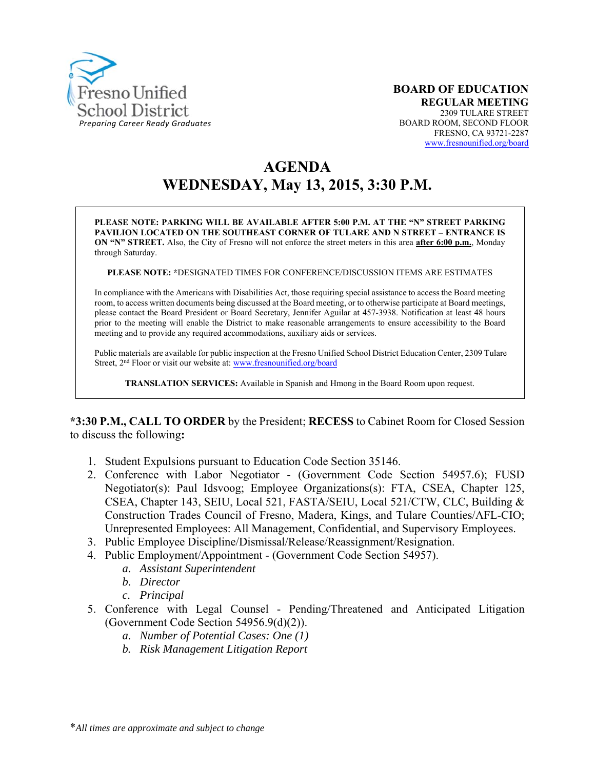

# **AGENDA WEDNESDAY, May 13, 2015, 3:30 P.M.**

**PLEASE NOTE: PARKING WILL BE AVAILABLE AFTER 5:00 P.M. AT THE "N" STREET PARKING PAVILION LOCATED ON THE SOUTHEAST CORNER OF TULARE AND N STREET – ENTRANCE IS ON "N" STREET.** Also, the City of Fresno will not enforce the street meters in this area **after 6:00 p.m.**, Monday through Saturday.

**PLEASE NOTE: \***DESIGNATED TIMES FOR CONFERENCE/DISCUSSION ITEMS ARE ESTIMATES

In compliance with the Americans with Disabilities Act, those requiring special assistance to access the Board meeting room, to access written documents being discussed at the Board meeting, or to otherwise participate at Board meetings, please contact the Board President or Board Secretary, Jennifer Aguilar at 457-3938. Notification at least 48 hours prior to the meeting will enable the District to make reasonable arrangements to ensure accessibility to the Board meeting and to provide any required accommodations, auxiliary aids or services.

Public materials are available for public inspection at the Fresno Unified School District Education Center, 2309 Tulare Street, 2<sup>nd</sup> Floor or visit our website at: www.fresnounified.org/board

**TRANSLATION SERVICES:** Available in Spanish and Hmong in the Board Room upon request.

**\*3:30 P.M., CALL TO ORDER** by the President; **RECESS** to Cabinet Room for Closed Session to discuss the following**:** 

- 1. Student Expulsions pursuant to Education Code Section 35146.
- 2. Conference with Labor Negotiator (Government Code Section 54957.6); FUSD Negotiator(s): Paul Idsvoog; Employee Organizations(s): FTA, CSEA, Chapter 125, CSEA, Chapter 143, SEIU, Local 521, FASTA/SEIU, Local 521/CTW, CLC, Building & Construction Trades Council of Fresno, Madera, Kings, and Tulare Counties/AFL-CIO; Unrepresented Employees: All Management, Confidential, and Supervisory Employees.
- 3. Public Employee Discipline/Dismissal/Release/Reassignment/Resignation.
- 4. Public Employment/Appointment (Government Code Section 54957).
	- *a. Assistant Superintendent*
	- *b. Director*
	- *c. Principal*
- 5. Conference with Legal Counsel Pending/Threatened and Anticipated Litigation (Government Code Section 54956.9(d)(2)).
	- *a. Number of Potential Cases: One (1)*
	- *b. Risk Management Litigation Report*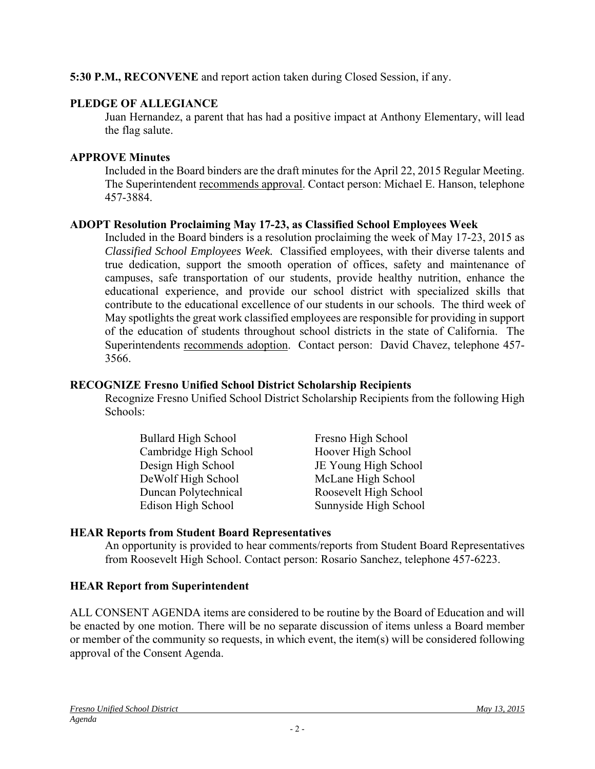## **5:30 P.M., RECONVENE** and report action taken during Closed Session, if any.

## **PLEDGE OF ALLEGIANCE**

Juan Hernandez, a parent that has had a positive impact at Anthony Elementary, will lead the flag salute.

#### **APPROVE Minutes**

Included in the Board binders are the draft minutes for the April 22, 2015 Regular Meeting. The Superintendent recommends approval. Contact person: Michael E. Hanson, telephone 457-3884.

## **ADOPT Resolution Proclaiming May 17-23, as Classified School Employees Week**

Included in the Board binders is a resolution proclaiming the week of May 17-23, 2015 as *Classified School Employees Week.* Classified employees, with their diverse talents and true dedication, support the smooth operation of offices, safety and maintenance of campuses, safe transportation of our students, provide healthy nutrition, enhance the educational experience, and provide our school district with specialized skills that contribute to the educational excellence of our students in our schools. The third week of May spotlights the great work classified employees are responsible for providing in support of the education of students throughout school districts in the state of California. The Superintendents recommends adoption. Contact person: David Chavez, telephone 457- 3566.

#### **RECOGNIZE Fresno Unified School District Scholarship Recipients**

Recognize Fresno Unified School District Scholarship Recipients from the following High Schools:

| <b>Bullard High School</b> | Fresno High School    |
|----------------------------|-----------------------|
| Cambridge High School      | Hoover High School    |
| Design High School         | JE Young High School  |
| DeWolf High School         | McLane High School    |
| Duncan Polytechnical       | Roosevelt High School |
| Edison High School         | Sunnyside High School |

## **HEAR Reports from Student Board Representatives**

An opportunity is provided to hear comments/reports from Student Board Representatives from Roosevelt High School. Contact person: Rosario Sanchez, telephone 457-6223.

## **HEAR Report from Superintendent**

ALL CONSENT AGENDA items are considered to be routine by the Board of Education and will be enacted by one motion. There will be no separate discussion of items unless a Board member or member of the community so requests, in which event, the item(s) will be considered following approval of the Consent Agenda.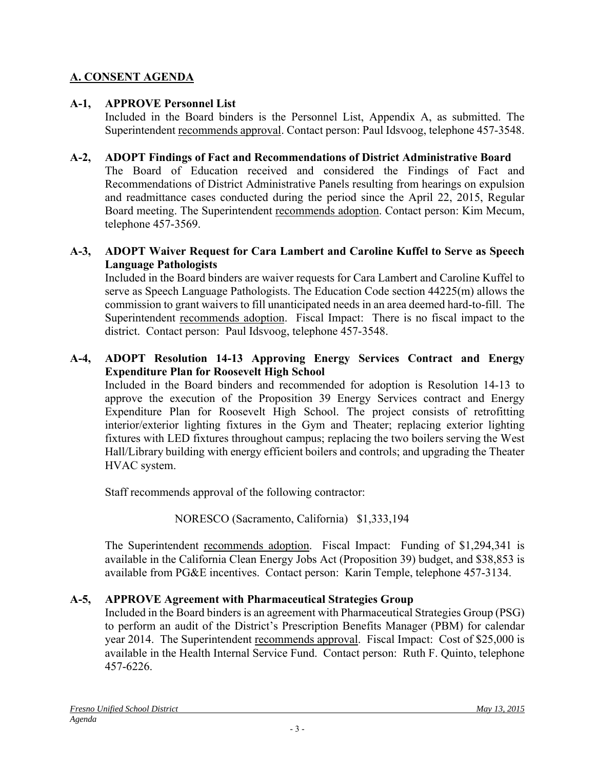# **A. CONSENT AGENDA**

## **A-1, APPROVE Personnel List**

Included in the Board binders is the Personnel List, Appendix A, as submitted. The Superintendent recommends approval. Contact person: Paul Idsvoog, telephone 457-3548.

## **A-2, ADOPT Findings of Fact and Recommendations of District Administrative Board**

The Board of Education received and considered the Findings of Fact and Recommendations of District Administrative Panels resulting from hearings on expulsion and readmittance cases conducted during the period since the April 22, 2015, Regular Board meeting. The Superintendent recommends adoption. Contact person: Kim Mecum, telephone 457-3569.

#### **A-3, ADOPT Waiver Request for Cara Lambert and Caroline Kuffel to Serve as Speech Language Pathologists**

Included in the Board binders are waiver requests for Cara Lambert and Caroline Kuffel to serve as Speech Language Pathologists. The Education Code section 44225(m) allows the commission to grant waivers to fill unanticipated needs in an area deemed hard-to-fill. The Superintendent recommends adoption. Fiscal Impact: There is no fiscal impact to the district. Contact person: Paul Idsvoog, telephone 457-3548.

## **A-4, ADOPT Resolution 14-13 Approving Energy Services Contract and Energy Expenditure Plan for Roosevelt High School**

Included in the Board binders and recommended for adoption is Resolution 14-13 to approve the execution of the Proposition 39 Energy Services contract and Energy Expenditure Plan for Roosevelt High School. The project consists of retrofitting interior/exterior lighting fixtures in the Gym and Theater; replacing exterior lighting fixtures with LED fixtures throughout campus; replacing the two boilers serving the West Hall/Library building with energy efficient boilers and controls; and upgrading the Theater HVAC system.

Staff recommends approval of the following contractor:

NORESCO (Sacramento, California) \$1,333,194

The Superintendent recommends adoption. Fiscal Impact: Funding of \$1,294,341 is available in the California Clean Energy Jobs Act (Proposition 39) budget, and \$38,853 is available from PG&E incentives. Contact person: Karin Temple, telephone 457-3134.

## **A-5, APPROVE Agreement with Pharmaceutical Strategies Group**

Included in the Board binders is an agreement with Pharmaceutical Strategies Group (PSG) to perform an audit of the District's Prescription Benefits Manager (PBM) for calendar year 2014. The Superintendent recommends approval. Fiscal Impact: Cost of \$25,000 is available in the Health Internal Service Fund. Contact person: Ruth F. Quinto, telephone 457-6226.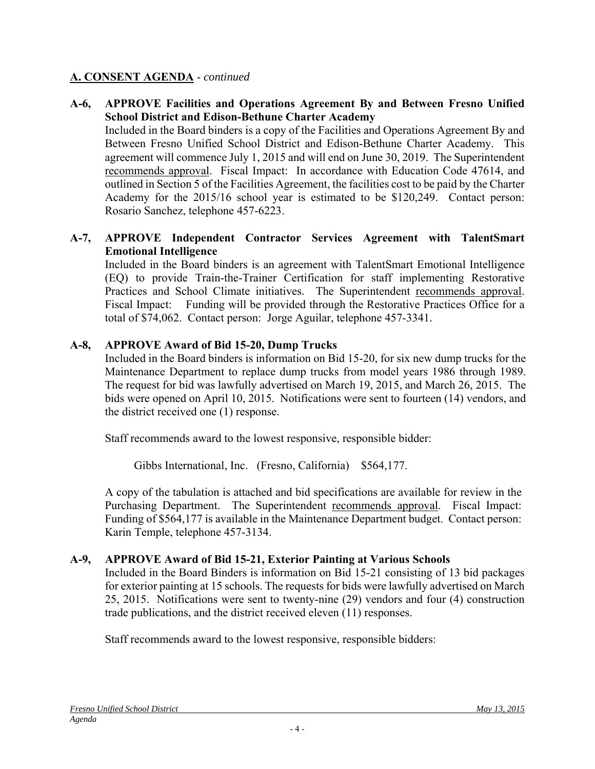## **A. CONSENT AGENDA** - *continued*

## **A-6, APPROVE Facilities and Operations Agreement By and Between Fresno Unified School District and Edison-Bethune Charter Academy**

Included in the Board binders is a copy of the Facilities and Operations Agreement By and Between Fresno Unified School District and Edison-Bethune Charter Academy. This agreement will commence July 1, 2015 and will end on June 30, 2019. The Superintendent recommends approval. Fiscal Impact: In accordance with Education Code 47614, and outlined in Section 5 of the Facilities Agreement, the facilities cost to be paid by the Charter Academy for the 2015/16 school year is estimated to be \$120,249. Contact person: Rosario Sanchez, telephone 457-6223.

## **A-7, APPROVE Independent Contractor Services Agreement with TalentSmart Emotional Intelligence**

Included in the Board binders is an agreement with TalentSmart Emotional Intelligence (EQ) to provide Train-the-Trainer Certification for staff implementing Restorative Practices and School Climate initiatives. The Superintendent recommends approval. Fiscal Impact: Funding will be provided through the Restorative Practices Office for a total of \$74,062. Contact person: Jorge Aguilar, telephone 457-3341.

## **A-8, APPROVE Award of Bid 15-20, Dump Trucks**

Included in the Board binders is information on Bid 15-20, for six new dump trucks for the Maintenance Department to replace dump trucks from model years 1986 through 1989. The request for bid was lawfully advertised on March 19, 2015, and March 26, 2015. The bids were opened on April 10, 2015. Notifications were sent to fourteen (14) vendors, and the district received one (1) response.

Staff recommends award to the lowest responsive, responsible bidder:

Gibbs International, Inc. (Fresno, California) \$564,177.

A copy of the tabulation is attached and bid specifications are available for review in the Purchasing Department. The Superintendent recommends approval. Fiscal Impact: Funding of \$564,177 is available in the Maintenance Department budget. Contact person: Karin Temple, telephone 457-3134.

#### **A-9, APPROVE Award of Bid 15-21, Exterior Painting at Various Schools**

Included in the Board Binders is information on Bid 15-21 consisting of 13 bid packages for exterior painting at 15 schools. The requests for bids were lawfully advertised on March 25, 2015. Notifications were sent to twenty-nine (29) vendors and four (4) construction trade publications, and the district received eleven (11) responses.

Staff recommends award to the lowest responsive, responsible bidders: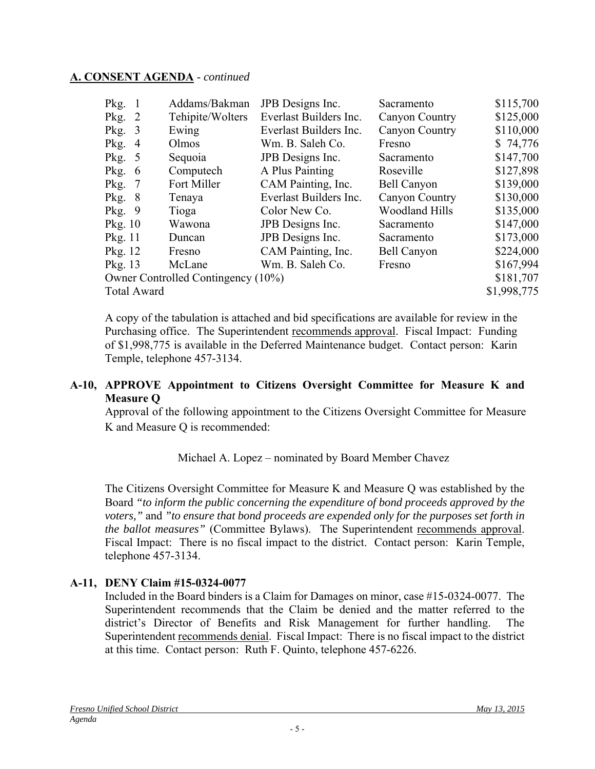#### **A. CONSENT AGENDA** - *continued*

| Pkg.<br>-1                         | Addams/Bakman    | JPB Designs Inc.       | Sacramento            | \$115,700   |
|------------------------------------|------------------|------------------------|-----------------------|-------------|
| Pkg.<br>2                          | Tehipite/Wolters | Everlast Builders Inc. | Canyon Country        | \$125,000   |
| Pkg.<br>3                          | Ewing            | Everlast Builders Inc. | Canyon Country        | \$110,000   |
| Pkg.<br>4                          | Olmos            | Wm. B. Saleh Co.       | Fresno                | \$74,776    |
| Pkg.<br>$\overline{5}$             | Sequoia          | JPB Designs Inc.       | Sacramento            | \$147,700   |
| Pkg.<br>6                          | Computech        | A Plus Painting        | Roseville             | \$127,898   |
| Pkg.<br>7                          | Fort Miller      | CAM Painting, Inc.     | <b>Bell Canyon</b>    | \$139,000   |
| Pkg.<br>8                          | Tenaya           | Everlast Builders Inc. | Canyon Country        | \$130,000   |
| Pkg.<br>9                          | Tioga            | Color New Co.          | <b>Woodland Hills</b> | \$135,000   |
| Pkg. 10                            | Wawona           | JPB Designs Inc.       | Sacramento            | \$147,000   |
| Pkg. 11                            | Duncan           | JPB Designs Inc.       | Sacramento            | \$173,000   |
| Pkg. 12                            | Fresno           | CAM Painting, Inc.     | <b>Bell Canyon</b>    | \$224,000   |
| Pkg. 13                            | McLane           | Wm. B. Saleh Co.       | Fresno                | \$167,994   |
| Owner Controlled Contingency (10%) |                  |                        |                       | \$181,707   |
| <b>Total Award</b>                 |                  |                        |                       | \$1,998,775 |

A copy of the tabulation is attached and bid specifications are available for review in the Purchasing office. The Superintendent recommends approval. Fiscal Impact: Funding of \$1,998,775 is available in the Deferred Maintenance budget. Contact person: Karin Temple, telephone 457-3134.

## **A-10, APPROVE Appointment to Citizens Oversight Committee for Measure K and Measure Q**

Approval of the following appointment to the Citizens Oversight Committee for Measure K and Measure Q is recommended:

## Michael A. Lopez – nominated by Board Member Chavez

The Citizens Oversight Committee for Measure K and Measure Q was established by the Board *"to inform the public concerning the expenditure of bond proceeds approved by the voters,"* and *"to ensure that bond proceeds are expended only for the purposes set forth in the ballot measures"* (Committee Bylaws). The Superintendent recommends approval. Fiscal Impact: There is no fiscal impact to the district. Contact person: Karin Temple, telephone 457-3134.

## **A-11, DENY Claim #15-0324-0077**

Included in the Board binders is a Claim for Damages on minor, case #15-0324-0077. The Superintendent recommends that the Claim be denied and the matter referred to the district's Director of Benefits and Risk Management for further handling. The Superintendent recommends denial. Fiscal Impact: There is no fiscal impact to the district at this time. Contact person: Ruth F. Quinto, telephone 457-6226.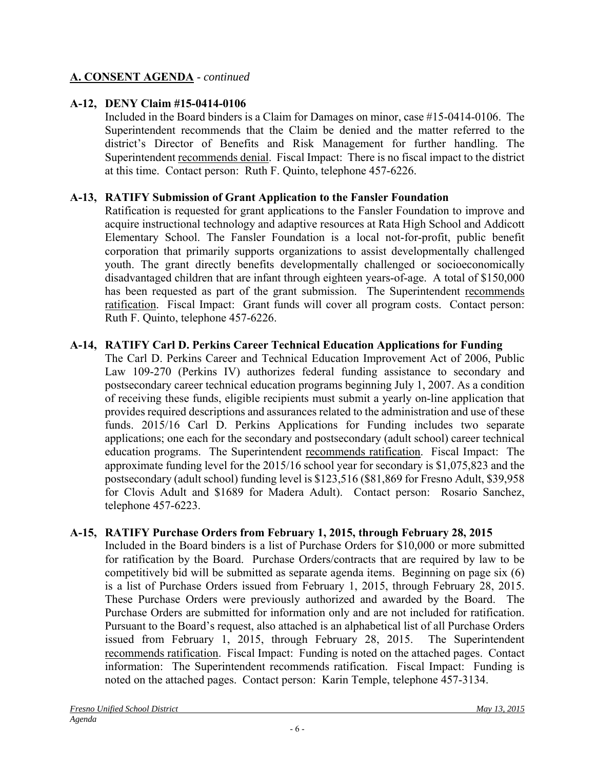# **A. CONSENT AGENDA** - *continued*

# **A-12, DENY Claim #15-0414-0106**

Included in the Board binders is a Claim for Damages on minor, case #15-0414-0106. The Superintendent recommends that the Claim be denied and the matter referred to the district's Director of Benefits and Risk Management for further handling. The Superintendent recommends denial. Fiscal Impact: There is no fiscal impact to the district at this time. Contact person: Ruth F. Quinto, telephone 457-6226.

# **A-13, RATIFY Submission of Grant Application to the Fansler Foundation**

Ratification is requested for grant applications to the Fansler Foundation to improve and acquire instructional technology and adaptive resources at Rata High School and Addicott Elementary School. The Fansler Foundation is a local not-for-profit, public benefit corporation that primarily supports organizations to assist developmentally challenged youth. The grant directly benefits developmentally challenged or socioeconomically disadvantaged children that are infant through eighteen years-of-age. A total of \$150,000 has been requested as part of the grant submission. The Superintendent recommends ratification. Fiscal Impact: Grant funds will cover all program costs. Contact person: Ruth F. Quinto, telephone 457-6226.

## **A-14, RATIFY Carl D. Perkins Career Technical Education Applications for Funding**

The Carl D. Perkins Career and Technical Education Improvement Act of 2006, Public Law 109-270 (Perkins IV) authorizes federal funding assistance to secondary and postsecondary career technical education programs beginning July 1, 2007. As a condition of receiving these funds, eligible recipients must submit a yearly on-line application that provides required descriptions and assurances related to the administration and use of these funds. 2015/16 Carl D. Perkins Applications for Funding includes two separate applications; one each for the secondary and postsecondary (adult school) career technical education programs. The Superintendent recommends ratification. Fiscal Impact: The approximate funding level for the 2015/16 school year for secondary is \$1,075,823 and the postsecondary (adult school) funding level is \$123,516 (\$81,869 for Fresno Adult, \$39,958 for Clovis Adult and \$1689 for Madera Adult). Contact person: Rosario Sanchez, telephone 457-6223.

## **A-15, RATIFY Purchase Orders from February 1, 2015, through February 28, 2015**

Included in the Board binders is a list of Purchase Orders for \$10,000 or more submitted for ratification by the Board. Purchase Orders/contracts that are required by law to be competitively bid will be submitted as separate agenda items. Beginning on page six (6) is a list of Purchase Orders issued from February 1, 2015, through February 28, 2015. These Purchase Orders were previously authorized and awarded by the Board. The Purchase Orders are submitted for information only and are not included for ratification. Pursuant to the Board's request, also attached is an alphabetical list of all Purchase Orders issued from February 1, 2015, through February 28, 2015. The Superintendent recommends ratification. Fiscal Impact: Funding is noted on the attached pages. Contact information: The Superintendent recommends ratification. Fiscal Impact: Funding is noted on the attached pages. Contact person: Karin Temple, telephone 457-3134.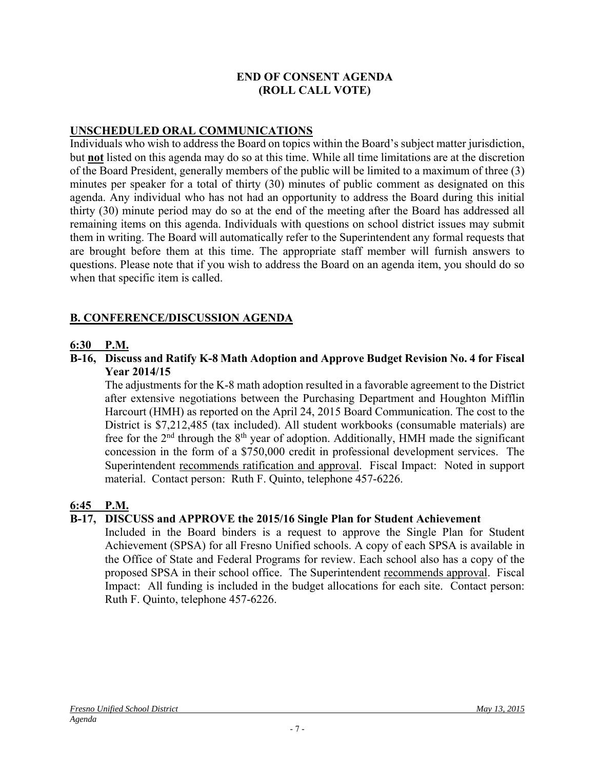## **END OF CONSENT AGENDA (ROLL CALL VOTE)**

## **UNSCHEDULED ORAL COMMUNICATIONS**

Individuals who wish to address the Board on topics within the Board's subject matter jurisdiction, but **not** listed on this agenda may do so at this time. While all time limitations are at the discretion of the Board President, generally members of the public will be limited to a maximum of three (3) minutes per speaker for a total of thirty (30) minutes of public comment as designated on this agenda. Any individual who has not had an opportunity to address the Board during this initial thirty (30) minute period may do so at the end of the meeting after the Board has addressed all remaining items on this agenda. Individuals with questions on school district issues may submit them in writing. The Board will automatically refer to the Superintendent any formal requests that are brought before them at this time. The appropriate staff member will furnish answers to questions. Please note that if you wish to address the Board on an agenda item, you should do so when that specific item is called.

## **B. CONFERENCE/DISCUSSION AGENDA**

#### **6:30 P.M.**

**B-16, Discuss and Ratify K-8 Math Adoption and Approve Budget Revision No. 4 for Fiscal Year 2014/15** 

The adjustments for the K-8 math adoption resulted in a favorable agreement to the District after extensive negotiations between the Purchasing Department and Houghton Mifflin Harcourt (HMH) as reported on the April 24, 2015 Board Communication. The cost to the District is \$7,212,485 (tax included). All student workbooks (consumable materials) are free for the  $2<sup>nd</sup>$  through the  $8<sup>th</sup>$  year of adoption. Additionally, HMH made the significant concession in the form of a \$750,000 credit in professional development services. The Superintendent recommends ratification and approval. Fiscal Impact: Noted in support material. Contact person: Ruth F. Quinto, telephone 457-6226.

## **6:45 P.M.**

#### **B-17, DISCUSS and APPROVE the 2015/16 Single Plan for Student Achievement**

Included in the Board binders is a request to approve the Single Plan for Student Achievement (SPSA) for all Fresno Unified schools. A copy of each SPSA is available in the Office of State and Federal Programs for review. Each school also has a copy of the proposed SPSA in their school office. The Superintendent recommends approval. Fiscal Impact: All funding is included in the budget allocations for each site. Contact person: Ruth F. Quinto, telephone 457-6226.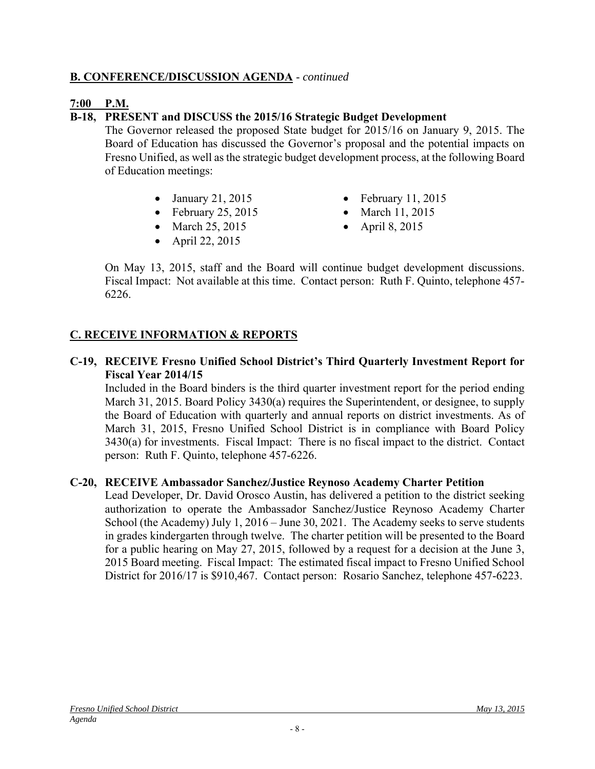## **B. CONFERENCE/DISCUSSION AGENDA** - *continued*

## **7:00 P.M.**

## **B-18, PRESENT and DISCUSS the 2015/16 Strategic Budget Development**

The Governor released the proposed State budget for 2015/16 on January 9, 2015. The Board of Education has discussed the Governor's proposal and the potential impacts on Fresno Unified, as well as the strategic budget development process, at the following Board of Education meetings:

- 
- February 25, 2015 March 11, 2015
- March 25, 2015 April 8, 2015
- $\bullet$  April 22, 2015
- January 21, 2015 February 11, 2015
	-
	-

On May 13, 2015, staff and the Board will continue budget development discussions. Fiscal Impact: Not available at this time. Contact person: Ruth F. Quinto, telephone 457- 6226.

## **C. RECEIVE INFORMATION & REPORTS**

#### **C-19, RECEIVE Fresno Unified School District's Third Quarterly Investment Report for Fiscal Year 2014/15**

Included in the Board binders is the third quarter investment report for the period ending March 31, 2015. Board Policy 3430(a) requires the Superintendent, or designee, to supply the Board of Education with quarterly and annual reports on district investments. As of March 31, 2015, Fresno Unified School District is in compliance with Board Policy 3430(a) for investments. Fiscal Impact: There is no fiscal impact to the district. Contact person: Ruth F. Quinto, telephone 457-6226.

#### **C-20, RECEIVE Ambassador Sanchez/Justice Reynoso Academy Charter Petition**

Lead Developer, Dr. David Orosco Austin, has delivered a petition to the district seeking authorization to operate the Ambassador Sanchez/Justice Reynoso Academy Charter School (the Academy) July 1, 2016 – June 30, 2021. The Academy seeks to serve students in grades kindergarten through twelve. The charter petition will be presented to the Board for a public hearing on May 27, 2015, followed by a request for a decision at the June 3, 2015 Board meeting. Fiscal Impact: The estimated fiscal impact to Fresno Unified School District for 2016/17 is \$910,467. Contact person: Rosario Sanchez, telephone 457-6223.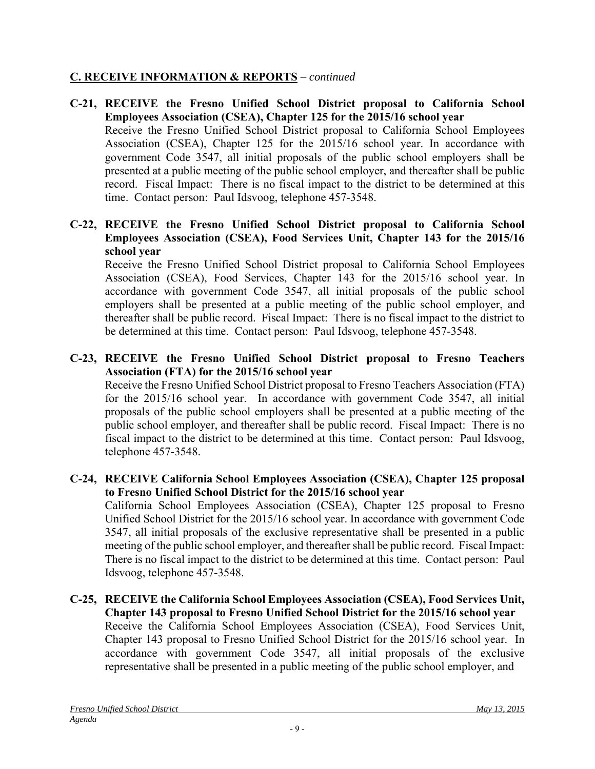# **C. RECEIVE INFORMATION & REPORTS** – *continued*

- **C-21, RECEIVE the Fresno Unified School District proposal to California School Employees Association (CSEA), Chapter 125 for the 2015/16 school year**  Receive the Fresno Unified School District proposal to California School Employees Association (CSEA), Chapter 125 for the 2015/16 school year. In accordance with government Code 3547, all initial proposals of the public school employers shall be presented at a public meeting of the public school employer, and thereafter shall be public record. Fiscal Impact: There is no fiscal impact to the district to be determined at this time. Contact person: Paul Idsvoog, telephone 457-3548.
- **C-22, RECEIVE the Fresno Unified School District proposal to California School Employees Association (CSEA), Food Services Unit, Chapter 143 for the 2015/16 school year**

Receive the Fresno Unified School District proposal to California School Employees Association (CSEA), Food Services, Chapter 143 for the 2015/16 school year. In accordance with government Code 3547, all initial proposals of the public school employers shall be presented at a public meeting of the public school employer, and thereafter shall be public record. Fiscal Impact: There is no fiscal impact to the district to be determined at this time. Contact person: Paul Idsvoog, telephone 457-3548.

# **C-23, RECEIVE the Fresno Unified School District proposal to Fresno Teachers Association (FTA) for the 2015/16 school year**

Receive the Fresno Unified School District proposal to Fresno Teachers Association (FTA) for the 2015/16 school year. In accordance with government Code 3547, all initial proposals of the public school employers shall be presented at a public meeting of the public school employer, and thereafter shall be public record. Fiscal Impact: There is no fiscal impact to the district to be determined at this time. Contact person: Paul Idsvoog, telephone 457-3548.

## **C-24, RECEIVE California School Employees Association (CSEA), Chapter 125 proposal to Fresno Unified School District for the 2015/16 school year**

California School Employees Association (CSEA), Chapter 125 proposal to Fresno Unified School District for the 2015/16 school year. In accordance with government Code 3547, all initial proposals of the exclusive representative shall be presented in a public meeting of the public school employer, and thereafter shall be public record. Fiscal Impact: There is no fiscal impact to the district to be determined at this time. Contact person: Paul Idsvoog, telephone 457-3548.

**C-25, RECEIVE the California School Employees Association (CSEA), Food Services Unit, Chapter 143 proposal to Fresno Unified School District for the 2015/16 school year** Receive the California School Employees Association (CSEA), Food Services Unit, Chapter 143 proposal to Fresno Unified School District for the 2015/16 school year. In accordance with government Code 3547, all initial proposals of the exclusive representative shall be presented in a public meeting of the public school employer, and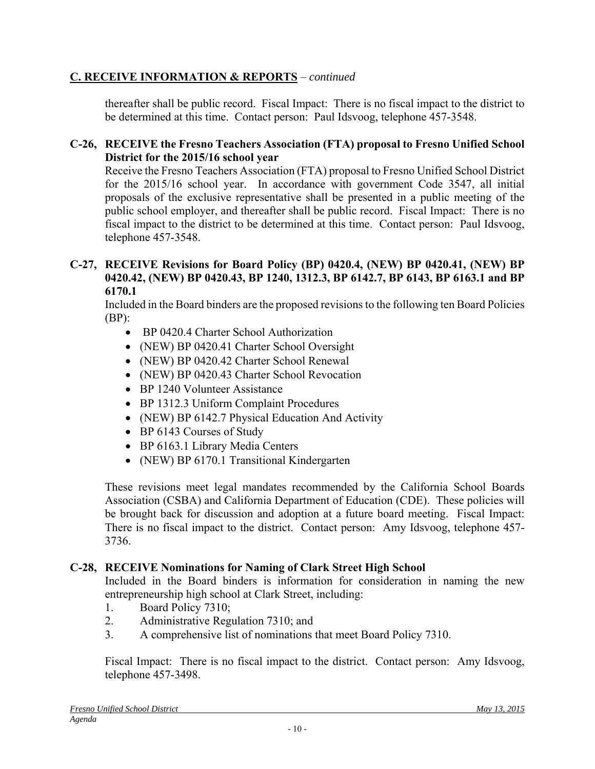# **C. RECEIVE INFORMATION & REPORTS** – *continued*

thereafter shall be public record. Fiscal Impact: There is no fiscal impact to the district to be determined at this time. Contact person: Paul Idsvoog, telephone 457-3548.

## **C-26, RECEIVE the Fresno Teachers Association (FTA) proposal to Fresno Unified School District for the 2015/16 school year**

Receive the Fresno Teachers Association (FTA) proposal to Fresno Unified School District for the 2015/16 school year. In accordance with government Code 3547, all initial proposals of the exclusive representative shall be presented in a public meeting of the public school employer, and thereafter shall be public record. Fiscal Impact: There is no fiscal impact to the district to be determined at this time. Contact person: Paul Idsvoog, telephone 457-3548.

## **C-27, RECEIVE Revisions for Board Policy (BP) 0420.4, (NEW) BP 0420.41, (NEW) BP 0420.42, (NEW) BP 0420.43, BP 1240, 1312.3, BP 6142.7, BP 6143, BP 6163.1 and BP 6170.1**

Included in the Board binders are the proposed revisions to the following ten Board Policies  $(BP)$ :

- BP 0420.4 Charter School Authorization
- (NEW) BP 0420.41 Charter School Oversight
- (NEW) BP 0420.42 Charter School Renewal
- (NEW) BP 0420.43 Charter School Revocation
- BP 1240 Volunteer Assistance
- BP 1312.3 Uniform Complaint Procedures
- (NEW) BP 6142.7 Physical Education And Activity
- BP 6143 Courses of Study
- BP 6163.1 Library Media Centers
- (NEW) BP 6170.1 Transitional Kindergarten

These revisions meet legal mandates recommended by the California School Boards Association (CSBA) and California Department of Education (CDE). These policies will be brought back for discussion and adoption at a future board meeting. Fiscal Impact: There is no fiscal impact to the district. Contact person: Amy Idsvoog, telephone 457- 3736.

## **C-28, RECEIVE Nominations for Naming of Clark Street High School**

Included in the Board binders is information for consideration in naming the new entrepreneurship high school at Clark Street, including:

- 1. Board Policy 7310;
- 2. Administrative Regulation 7310; and
- 3. A comprehensive list of nominations that meet Board Policy 7310.

Fiscal Impact: There is no fiscal impact to the district. Contact person: Amy Idsvoog, telephone 457-3498.